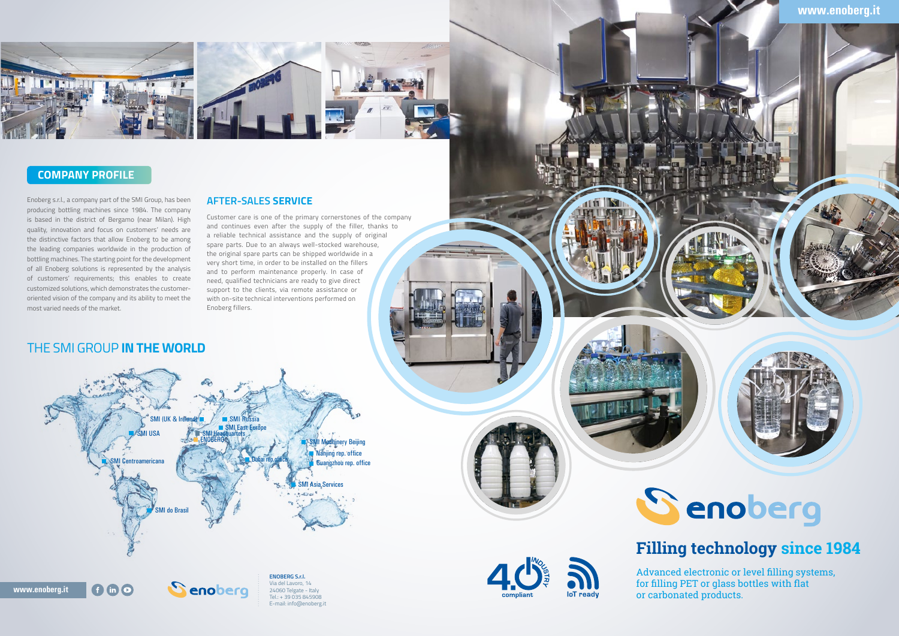## SMI Headquarters ENOBERG SMI Centroamericana do Brasil SMI Russi SMI USA SMI Headquarters SMI Machinery Beijing **Nanjing rep. office** Guangzhou rep. office **MI Asia Services** SMI (UK & Ireland **ENOBERG S.r.l.**

Senoberg

## **www.enoberg.it**





# Senoberg

**www.enoberg.it**





Via del Lavoro, 14 24060 Telgate - Italy Tel.: + 39 035 845908 E-mail: info@enoberg.it







# **Filling technology since 1984**

Advanced electronic or level filling systems, for filling PET or glass bottles with flat or carbonated products.

#### THE SMI GROUP **IN THE WORLD**

 $f \circ f$ 

**AFTER-SALES SERVICE**

Customer care is one of the primary cornerstones of the company and continues even after the supply of the filler, thanks to a reliable technical assistance and the supply of original spare parts. Due to an always well-stocked warehouse, the original spare parts can be shipped worldwide in a very short time, in order to be installed on the fillers and to perform maintenance properly. In case of need, qualified technicians are ready to give direct support to the clients, via remote assistance or with on-site technical interventions performed on

Enoberg fillers.

Enoberg s.r.l., a company part of the SMI Group, has been producing bottling machines since 1984. The company is based in the district of Bergamo (near Milan). High quality, innovation and focus on customers' needs are the distinctive factors that allow Enoberg to be among the leading companies worldwide in the production of bottling machines. The starting point for the development of all Enoberg solutions is represented by the analysis of customers' requirements; this enables to create customized solutions, which demonstrates the customeroriented vision of the company and its ability to meet the most varied needs of the market.

## **COMPANY PROFILE**